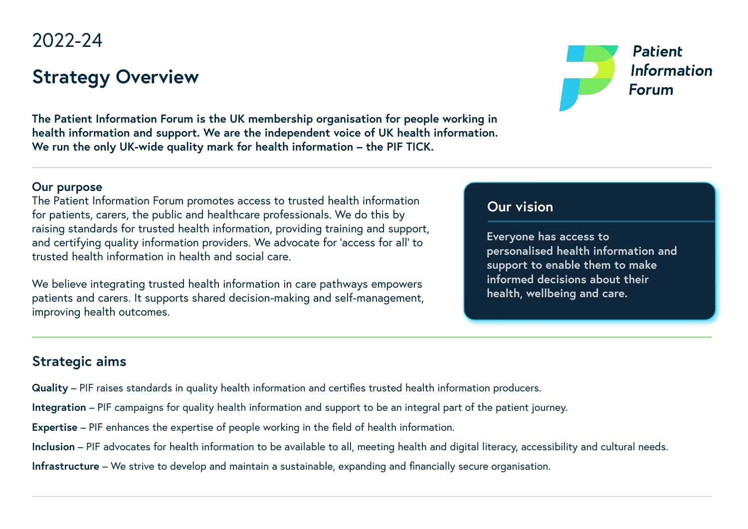# 2022-24

# **Strategy Overview**



**The Patient Information Forum is the UK membership organisation for people working in health information and support. We are the independent voice of UK health information. We run the only UK-wide quality mark for health information – the PIF TICK.**

#### **Our purpose**

The Patient Information Forum promotes access to trusted health information for patients, carers, the public and healthcare professionals. We do this by raising standards for trusted health information, providing training and support, and certifying quality information providers. We advocate for 'access for all' to trusted health information in health and social care.

We believe integrating trusted health information in care pathways empowers patients and carers. It supports shared decision-making and self-management, improving health outcomes.

### **Our vision**

**Everyone has access to personalised health information and support to enable them to make informed decisions about their health, wellbeing and care.**

### **Strategic aims**

- **Quality** PIF raises standards in quality health information and certifies trusted health information producers.
- **Integration** PIF campaigns for quality health information and support to be an integral part of the patient journey.
- **Expertise** PIF enhances the expertise of people working in the field of health information.
- **Inclusion** PIF advocates for health information to be available to all, meeting health and digital literacy, accessibility and cultural needs.
- **Infrastructure** We strive to develop and maintain a sustainable, expanding and financially secure organisation.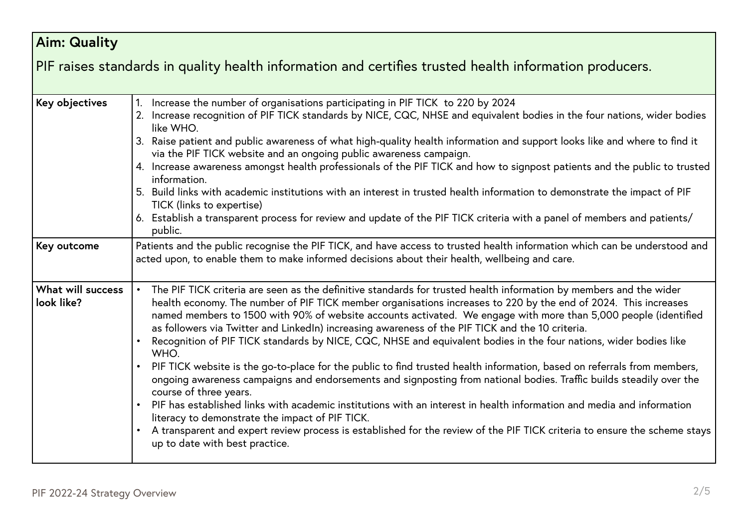#### **Aim: Quality** PIF raises standards in quality health information and certifies trusted health information producers. **Key objectives** 1. Increase the number of organisations participating in PIF TICK to 220 by 2024 2. Increase recognition of PIF TICK standards by NICE, CQC, NHSE and equivalent bodies in the four nations, wider bodies like WHO. 3. Raise patient and public awareness of what high-quality health information and support looks like and where to find it via the PIF TICK website and an ongoing public awareness campaign. 4. Increase awareness amongst health professionals of the PIF TICK and how to signpost patients and the public to trusted information. 5. Build links with academic institutions with an interest in trusted health information to demonstrate the impact of PIF TICK (links to expertise) 6. Establish a transparent process for review and update of the PIF TICK criteria with a panel of members and patients/ public. **Key outcome** Patients and the public recognise the PIF TICK, and have access to trusted health information which can be understood and acted upon, to enable them to make informed decisions about their health, wellbeing and care. **What will success look like?** • The PIF TICK criteria are seen as the definitive standards for trusted health information by members and the wider health economy. The number of PIF TICK member organisations increases to 220 by the end of 2024. This increases named members to 1500 with 90% of website accounts activated. We engage with more than 5,000 people (identified as followers via Twitter and LinkedIn) increasing awareness of the PIF TICK and the 10 criteria. • Recognition of PIF TICK standards by NICE, CQC, NHSE and equivalent bodies in the four nations, wider bodies like WHO. • PIF TICK website is the go-to-place for the public to find trusted health information, based on referrals from members, ongoing awareness campaigns and endorsements and signposting from national bodies. Traffic builds steadily over the course of three years. • PIF has established links with academic institutions with an interest in health information and media and information literacy to demonstrate the impact of PIF TICK. • A transparent and expert review process is established for the review of the PIF TICK criteria to ensure the scheme stays up to date with best practice.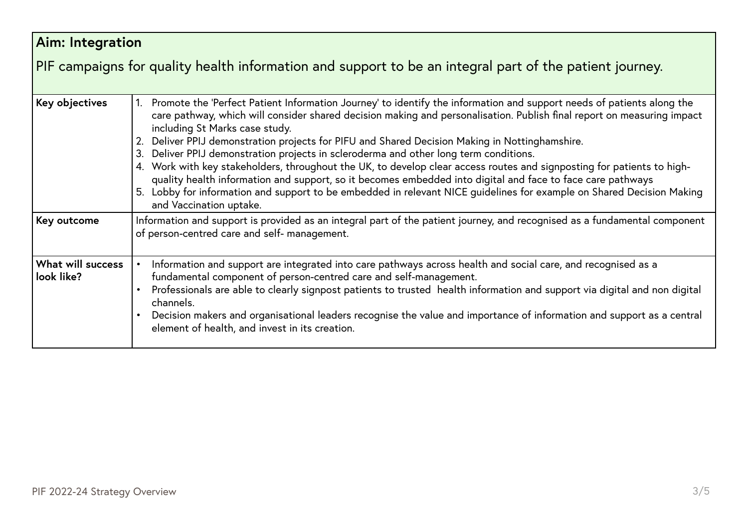#### **Aim: Integration** PIF campaigns for quality health information and support to be an integral part of the patient journey. Key objectives 1. Promote the 'Perfect Patient Information Journey' to identify the information and support needs of patients along the care pathway, which will consider shared decision making and personalisation. Publish final report on measuring impact including St Marks case study. 2. Deliver PPIJ demonstration projects for PIFU and Shared Decision Making in Nottinghamshire. 3. Deliver PPIJ demonstration projects in scleroderma and other long term conditions. 4. Work with key stakeholders, throughout the UK, to develop clear access routes and signposting for patients to highquality health information and support, so it becomes embedded into digital and face to face care pathways 5. Lobby for information and support to be embedded in relevant NICE guidelines for example on Shared Decision Making and Vaccination uptake. Key outcome Information and support is provided as an integral part of the patient journey, and recognised as a fundamental component of person-centred care and self- management. **What will success look like?** • Information and support are integrated into care pathways across health and social care, and recognised as a fundamental component of person-centred care and self-management. • Professionals are able to clearly signpost patients to trusted health information and support via digital and non digital channels. • Decision makers and organisational leaders recognise the value and importance of information and support as a central element of health, and invest in its creation.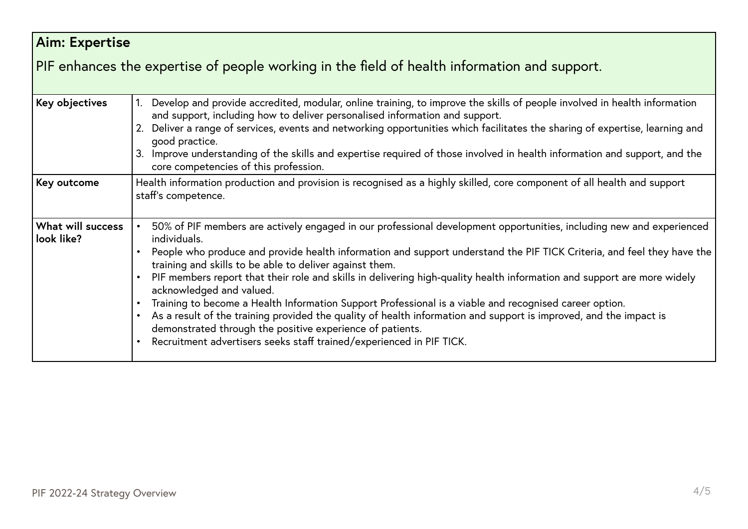| Aim: Expertise                                                                               |                                                                                                                                                                                                                                                                                                                                                                                                                                                                                                                                                                                                                                                                                                                                                                                                                                                      |  |
|----------------------------------------------------------------------------------------------|------------------------------------------------------------------------------------------------------------------------------------------------------------------------------------------------------------------------------------------------------------------------------------------------------------------------------------------------------------------------------------------------------------------------------------------------------------------------------------------------------------------------------------------------------------------------------------------------------------------------------------------------------------------------------------------------------------------------------------------------------------------------------------------------------------------------------------------------------|--|
| PIF enhances the expertise of people working in the field of health information and support. |                                                                                                                                                                                                                                                                                                                                                                                                                                                                                                                                                                                                                                                                                                                                                                                                                                                      |  |
| Key objectives                                                                               | Develop and provide accredited, modular, online training, to improve the skills of people involved in health information<br>and support, including how to deliver personalised information and support.<br>2. Deliver a range of services, events and networking opportunities which facilitates the sharing of expertise, learning and<br>good practice.<br>3. Improve understanding of the skills and expertise required of those involved in health information and support, and the<br>core competencies of this profession.                                                                                                                                                                                                                                                                                                                     |  |
| Key outcome                                                                                  | Health information production and provision is recognised as a highly skilled, core component of all health and support<br>staff's competence.                                                                                                                                                                                                                                                                                                                                                                                                                                                                                                                                                                                                                                                                                                       |  |
| What will success<br>look like?                                                              | 50% of PIF members are actively engaged in our professional development opportunities, including new and experienced<br>individuals.<br>People who produce and provide health information and support understand the PIF TICK Criteria, and feel they have the<br>training and skills to be able to deliver against them.<br>PIF members report that their role and skills in delivering high-quality health information and support are more widely<br>acknowledged and valued.<br>Training to become a Health Information Support Professional is a viable and recognised career option.<br>As a result of the training provided the quality of health information and support is improved, and the impact is<br>demonstrated through the positive experience of patients.<br>Recruitment advertisers seeks staff trained/experienced in PIF TICK. |  |